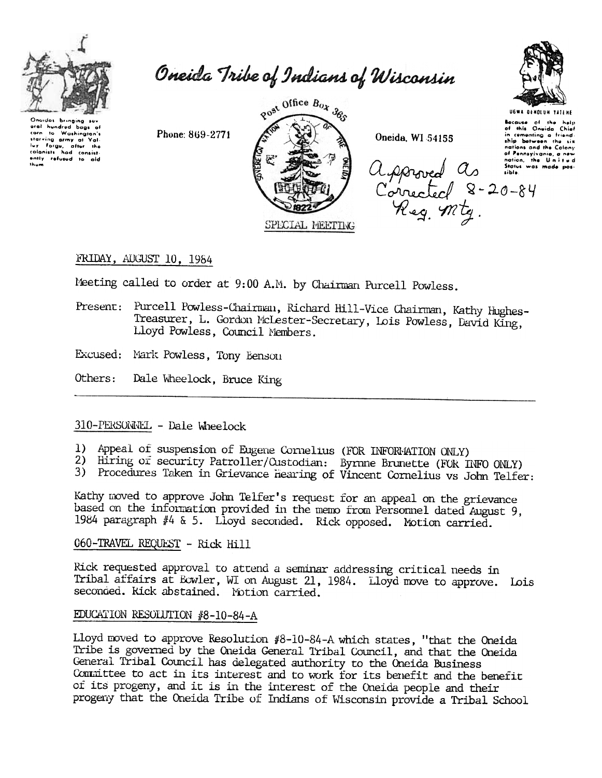

Oneida Tribe of Indians of Wisconsin

Onaidas bringing eral hundred bags of corn to Washington's<br>starving army of Validay<br>for forgs, after the<br>colonists had consistently refused to aid<br>thum



Oneida, WI 54155



**UGWA DENOLUN YATEN** 

Because of the help<br>of this Oneida Chief in comenting a friend.<br>
ship between the six nations and the Colony of Pennsylvania, a new nation, the United<br>Status was made pos-Approved As Simons

# FRIDAY, AUGUST 10, 1984

Meeting called to order at 9:00 A.M. by Chairman Purcell Powless.

- Present: Purcell Powless-Chairman, Richard Hill-Vice Chairman, Kathy Hughes-Treasurer, L. Gordon McLester-Secretary, Lois Powless, David King, Lloyd Powless, Council Members.
- Excused: Mark Powless, Tony Benson

Phone: 869-2771

Others: Dale Wheelock, Bruce King

## 310-PERSONNEL - Dale Wheelock

- 1) Appeal of suspension of Eugene Cornelius (FOR INFORMATION ONLY)
- 2) Hiring of security Patroller/Custodian: Byrnne Brunette (FOR INFO ONLY)
- 3) Procedures Taken in Grievance Hearing of Vincent Cornelius vs John Telfer:

Kathy moved to approve John Telfer's request for an appeal on the grievance based on the information provided in the memo from Personnel dated August 9, 1984 paragraph #4 & 5. Lloyd seconded. Rick opposed. Motion carried.

#### 060-TRAVEL REQUEST - Rick Hill

Rick requested approval to attend a seminar addressing critical needs in Tribal affairs at Ecwler, WI on August 21, 1984. Lloyd move to approve. Lois seconded. Kick abstained. Motion carried.

#### EDUCATION RESOLUTION #8-10-84-A

Lloyd moved to approve Resolution #8-10-84-A which states, "that the Oneida Tribe is governed by the Oneida General Tribal Council, and that the Oneida General Tribal Council has delegated authority to the Oneida Business Committee to act in its interest and to work for its benefit and the benefit of its progeny, and it is in the interest of the Oneida people and their progeny that the Oneida Tribe of Indians of Wisconsin provide a Tribal School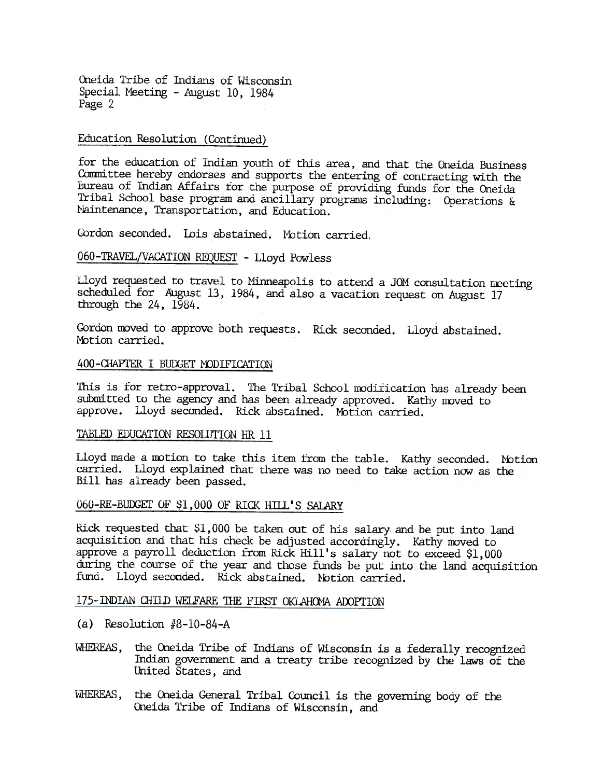Oneida Tribe of Indians of Wisconsin Special Meeting -August 10, 1984 Page 2

# Education Resolution (Continued)

for the education of Indian youth of this area, and that the Oneida Business Conmittee hereby endorses and supports the entering of contracting with the Bureau of Indian Affairs for the purpose of providing funds for the Oneida Tribal School base program and ancillary programs including: Operations  $\&$ Maintenance, Transportation, and Education.

Gordon seconded. Lois abstained. Motion carried.

### 06Q-TRAVEL/VACATION REQUEST -Lloyd Powless

Lloyd requested to travel to Minneapolis to attend a JOM consultation meeting scheduled for August 13, 1984, and also a vacation request on August 17 through the 24, 1984.

Gordon moved to approve both requests. Rick seconded. Lloyd abstained Motion carried.

#### 400-CHAPTER I BUDGET MODIFICATION

This is for retro-approval. The Tribal School modification has already been submitted to the agency and has been already approved. Kathy moved to approve. Lloyd seconded. Rick abstained. Motion carried.

## TABLED EDUCATION RESOLUTION HR 11

Lloyd made a motion to take this item from the table. Kathy seconded. Notion carried. Lloyd explained that there was no need to take action now as the Bill has already been passed.

#### 060-RE-BUDGET OF \$1,000 OF RICK HILL'S SALARY

RiCk requested that \$1,000 be taken out of his salary- and be put into land acquisition and that his check be adjusted accordingly. Kathy moved to approve a payroll deduction from RiCk Hill's salary not to exceed \$1,000 during the course of the year and those ftmds be put into the land acquisition fund. Lloyd seconded. Rick abstained. Notion carried.

# 175-INDIAN CHILD WELFARE THE FIRST OKLAHOMA ADOPTION

- (a) Resolution  $#8-10-84-A$
- WHEREAS, the Oneida Tribe of Indians of Wisconsin is a federally recognized Indian government and a treaty tribe recognized by the laws of the United States, and
- WHEREAS, the Oneida General Tribal Council is the governing body of the Oneida l'ribe of Indians of Wisconsin, and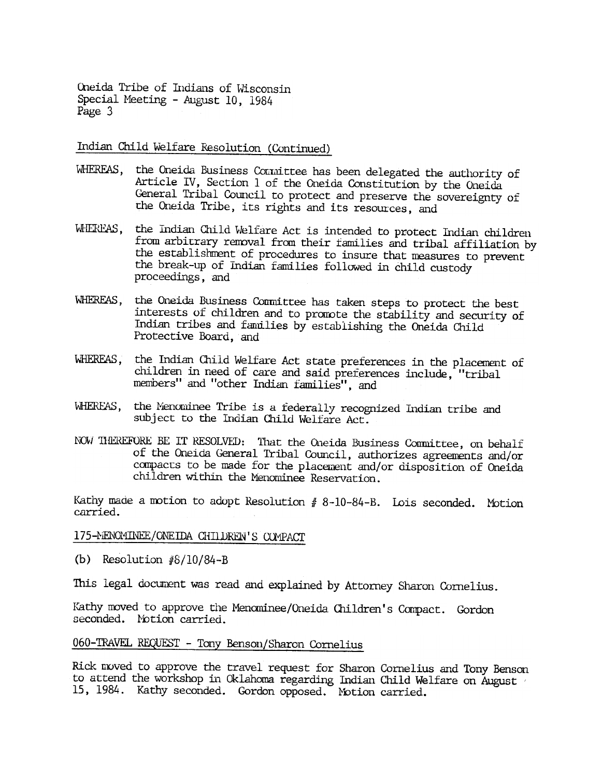Oneida Tribe of Indians of Wisconsin Special Meeting - August 10, 1984 Page 3

Indian Child Welfare Resolution (Continued)

- WHEREAS, the Oneida Business Committee has been delegated the authority of Article IV, Section 1 of the Oneida Constitution by the Oneida General Tribal Council to protect and preserve the sovereignty of the Oneida Tribe, its rights and its resources, and
- WHEREAS. the Indian Child Welfare Act is intended to protect Indian children from arbitrary removal from their families and tribal affiliation by the establishment of procedures to insure that measures to prevent the break-up of Indian families followed in child custody proceedings, and
- WHEREAS, the Oneida Business Committee has taken steps to protect the best interests of children and to promote the stability and security of Indian tribes and families by establishing the Oneida Child Protective Board, and
- WHEREAS, the Indian Child Welfare Act state preferences in the placement of children in need of care and said preferences include, "tribal members" and "other Indian families", and
- WHEREAS, the Menominee Tribe is a federally recognized Indian tribe and subject to the Indian Child Welfare Act.
- NOW THEREFORE BE IT RESOLVED: That the Oneida Business Committee, on behalf of the Oneida General Tribal Council, authorizes agreements and/or compacts to be made for the placement and/or disposition of Oneida children within the Menominee Reservation.

Kathy made a motion to adopt Resolution  $# 8-10-84-B$ . Lois seconded. Motion carried.

#### 175-MENOMINEE/ONEIDA CHILDREN'S COMPACT

(b) Resolution  $\frac{1}{8}/10/84 - B$ 

This legal document was read and explained by Attorney Sharon Cornelius.

Kathy moved to approve the Menominee/Oneida Children's Compact. Gordon seconded. Notion carried.

# 060-TRAVEL REQUEST - Tony Benson/Sharon Cornelius

Rick moved to approve the travel request for Sharon Cornelius and Tony Benson to attend the workshop in Oklahoma regarding Indian Child Welfare on August 15, 1984. Kathy seconded. Gordon opposed. Motion carried.